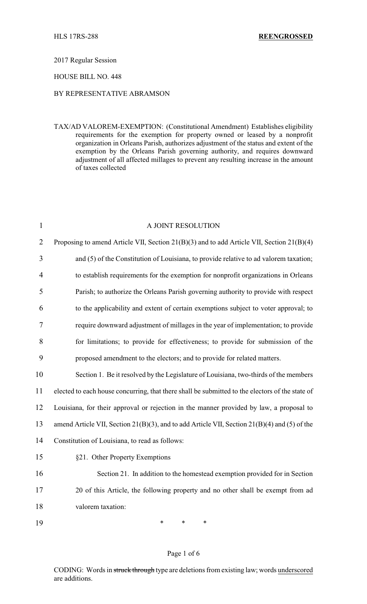### 2017 Regular Session

### HOUSE BILL NO. 448

# BY REPRESENTATIVE ABRAMSON

TAX/AD VALOREM-EXEMPTION: (Constitutional Amendment) Establishes eligibility requirements for the exemption for property owned or leased by a nonprofit organization in Orleans Parish, authorizes adjustment of the status and extent of the exemption by the Orleans Parish governing authority, and requires downward adjustment of all affected millages to prevent any resulting increase in the amount of taxes collected

| $\mathbf{1}$   | A JOINT RESOLUTION                                                                              |
|----------------|-------------------------------------------------------------------------------------------------|
| $\overline{2}$ | Proposing to amend Article VII, Section 21(B)(3) and to add Article VII, Section 21(B)(4)       |
| 3              | and (5) of the Constitution of Louisiana, to provide relative to ad valorem taxation;           |
| 4              | to establish requirements for the exemption for nonprofit organizations in Orleans              |
| 5              | Parish; to authorize the Orleans Parish governing authority to provide with respect             |
| 6              | to the applicability and extent of certain exemptions subject to voter approval; to             |
| 7              | require downward adjustment of millages in the year of implementation; to provide               |
| 8              | for limitations; to provide for effectiveness; to provide for submission of the                 |
| 9              | proposed amendment to the electors; and to provide for related matters.                         |
| 10             | Section 1. Be it resolved by the Legislature of Louisiana, two-thirds of the members            |
| 11             | elected to each house concurring, that there shall be submitted to the electors of the state of |
| 12             | Louisiana, for their approval or rejection in the manner provided by law, a proposal to         |
| 13             | amend Article VII, Section 21(B)(3), and to add Article VII, Section 21(B)(4) and (5) of the    |
| 14             | Constitution of Louisiana, to read as follows:                                                  |
| 15             | §21. Other Property Exemptions                                                                  |
| 16             | Section 21. In addition to the homestead exemption provided for in Section                      |
| 17             | 20 of this Article, the following property and no other shall be exempt from ad                 |
| 18             | valorem taxation:                                                                               |
| 19             | $\ast$<br>*<br>∗                                                                                |

## Page 1 of 6

CODING: Words in struck through type are deletions from existing law; words underscored are additions.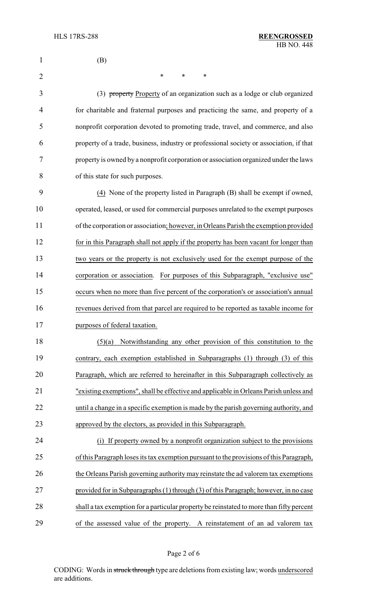| 1              | (B)                                                                                      |
|----------------|------------------------------------------------------------------------------------------|
| $\overline{2}$ | *<br>∗<br>∗                                                                              |
| 3              | (3) property Property of an organization such as a lodge or club organized               |
| 4              | for charitable and fraternal purposes and practicing the same, and property of a         |
| 5              | nonprofit corporation devoted to promoting trade, travel, and commerce, and also         |
| 6              | property of a trade, business, industry or professional society or association, if that  |
| 7              | property is owned by a nonprofit corporation or association organized under the laws     |
| 8              | of this state for such purposes.                                                         |
| 9              | (4) None of the property listed in Paragraph (B) shall be exempt if owned,               |
| 10             | operated, leased, or used for commercial purposes unrelated to the exempt purposes       |
| 11             | of the corporation or association; however, in Orleans Parish the exemption provided     |
| 12             | for in this Paragraph shall not apply if the property has been vacant for longer than    |
| 13             | two years or the property is not exclusively used for the exempt purpose of the          |
| 14             | corporation or association. For purposes of this Subparagraph, "exclusive use"           |
| 15             | occurs when no more than five percent of the corporation's or association's annual       |
| 16             | revenues derived from that parcel are required to be reported as taxable income for      |
| 17             | purposes of federal taxation.                                                            |
| 18             | Notwithstanding any other provision of this constitution to the<br>(5)(a)                |
| 19             | contrary, each exemption established in Subparagraphs (1) through (3) of this            |
| 20             | Paragraph, which are referred to hereinafter in this Subparagraph collectively as        |
| 21             | "existing exemptions", shall be effective and applicable in Orleans Parish unless and    |
| 22             | until a change in a specific exemption is made by the parish governing authority, and    |
| 23             | approved by the electors, as provided in this Subparagraph.                              |
| 24             | If property owned by a nonprofit organization subject to the provisions<br>(i)           |
| 25             | of this Paragraph loses its tax exemption pursuant to the provisions of this Paragraph,  |
| 26             | the Orleans Parish governing authority may reinstate the ad valorem tax exemptions       |
| 27             | provided for in Subparagraphs (1) through (3) of this Paragraph; however, in no case     |
| 28             | shall a tax exemption for a particular property be reinstated to more than fifty percent |
| 29             | of the assessed value of the property. A reinstatement of an ad valorem tax              |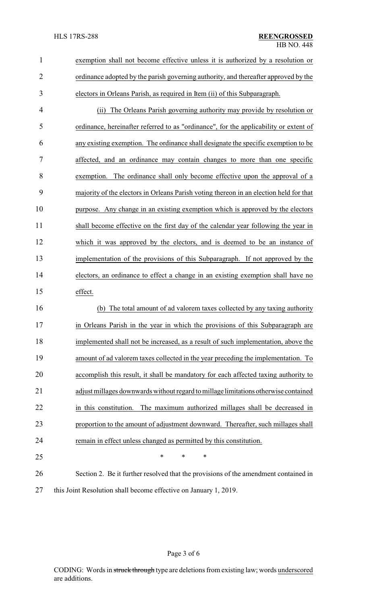| $\mathbf{1}$   | exemption shall not become effective unless it is authorized by a resolution or        |  |  |
|----------------|----------------------------------------------------------------------------------------|--|--|
| $\overline{2}$ | ordinance adopted by the parish governing authority, and thereafter approved by the    |  |  |
| 3              | electors in Orleans Parish, as required in Item (ii) of this Subparagraph.             |  |  |
| 4              | The Orleans Parish governing authority may provide by resolution or<br>(ii)            |  |  |
| 5              | ordinance, hereinafter referred to as "ordinance", for the applicability or extent of  |  |  |
| 6              | any existing exemption. The ordinance shall designate the specific exemption to be     |  |  |
| 7              | affected, and an ordinance may contain changes to more than one specific               |  |  |
| 8              | exemption. The ordinance shall only become effective upon the approval of a            |  |  |
| 9              | majority of the electors in Orleans Parish voting thereon in an election held for that |  |  |
| 10             | purpose. Any change in an existing exemption which is approved by the electors         |  |  |
| 11             | shall become effective on the first day of the calendar year following the year in     |  |  |
| 12             | which it was approved by the electors, and is deemed to be an instance of              |  |  |
| 13             | implementation of the provisions of this Subparagraph. If not approved by the          |  |  |
| 14             | electors, an ordinance to effect a change in an existing exemption shall have no       |  |  |
| 15             | effect.                                                                                |  |  |
| 16             | The total amount of ad valorem taxes collected by any taxing authority<br>(b)          |  |  |
| 17             | in Orleans Parish in the year in which the provisions of this Subparagraph are         |  |  |
| 18             | implemented shall not be increased, as a result of such implementation, above the      |  |  |
| 19             | amount of ad valorem taxes collected in the year preceding the implementation. To      |  |  |
| 20             | accomplish this result, it shall be mandatory for each affected taxing authority to    |  |  |
| 21             | adjust millages downwards without regard to millage limitations otherwise contained    |  |  |
| 22             | The maximum authorized millages shall be decreased in<br>in this constitution.         |  |  |
| 23             | proportion to the amount of adjustment downward. Thereafter, such millages shall       |  |  |
| 24             | remain in effect unless changed as permitted by this constitution.                     |  |  |
| 25             | $\ast$<br>*<br>*                                                                       |  |  |
| 26             | Section 2. Be it further resolved that the provisions of the amendment contained in    |  |  |
| 27             | this Joint Resolution shall become effective on January 1, 2019.                       |  |  |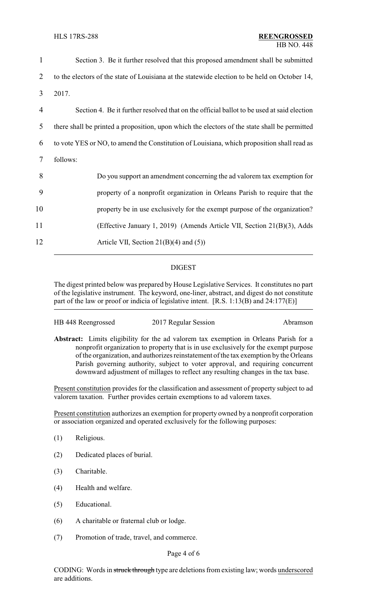| $\mathbf{1}$   | Section 3. Be it further resolved that this proposed amendment shall be submitted             |
|----------------|-----------------------------------------------------------------------------------------------|
| 2              | to the electors of the state of Louisiana at the statewide election to be held on October 14, |
| $\overline{3}$ | 2017.                                                                                         |
| $\overline{4}$ | Section 4. Be it further resolved that on the official ballot to be used at said election     |
| 5              | there shall be printed a proposition, upon which the electors of the state shall be permitted |
| 6              | to vote YES or NO, to amend the Constitution of Louisiana, which proposition shall read as    |
| 7              | follows:                                                                                      |
| 8              | Do you support an amendment concerning the ad valorem tax exemption for                       |
| 9              | property of a nonprofit organization in Orleans Parish to require that the                    |
| 10             | property be in use exclusively for the exempt purpose of the organization?                    |
| 11             | (Effective January 1, 2019) (Amends Article VII, Section 21(B)(3), Adds                       |
| 12             | Article VII, Section $21(B)(4)$ and (5))                                                      |

# DIGEST

The digest printed below was prepared by House Legislative Services. It constitutes no part of the legislative instrument. The keyword, one-liner, abstract, and digest do not constitute part of the law or proof or indicia of legislative intent. [R.S. 1:13(B) and 24:177(E)]

| HB 448 Reengrossed | 2017 Regular Session | Abramson |
|--------------------|----------------------|----------|
|--------------------|----------------------|----------|

**Abstract:** Limits eligibility for the ad valorem tax exemption in Orleans Parish for a nonprofit organization to property that is in use exclusively for the exempt purpose of the organization, and authorizes reinstatement of the tax exemption by the Orleans Parish governing authority, subject to voter approval, and requiring concurrent downward adjustment of millages to reflect any resulting changes in the tax base.

Present constitution provides for the classification and assessment of property subject to ad valorem taxation. Further provides certain exemptions to ad valorem taxes.

Present constitution authorizes an exemption for property owned by a nonprofit corporation or association organized and operated exclusively for the following purposes:

- (1) Religious.
- (2) Dedicated places of burial.
- (3) Charitable.
- (4) Health and welfare.
- (5) Educational.
- (6) A charitable or fraternal club or lodge.
- (7) Promotion of trade, travel, and commerce.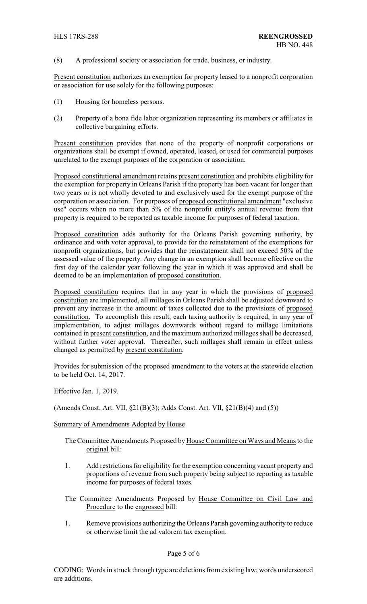(8) A professional society or association for trade, business, or industry.

Present constitution authorizes an exemption for property leased to a nonprofit corporation or association for use solely for the following purposes:

- (1) Housing for homeless persons.
- (2) Property of a bona fide labor organization representing its members or affiliates in collective bargaining efforts.

Present constitution provides that none of the property of nonprofit corporations or organizations shall be exempt if owned, operated, leased, or used for commercial purposes unrelated to the exempt purposes of the corporation or association.

Proposed constitutional amendment retains present constitution and prohibits eligibility for the exemption for property in Orleans Parish if the property has been vacant for longer than two years or is not wholly devoted to and exclusively used for the exempt purpose of the corporation or association. For purposes of proposed constitutional amendment "exclusive use" occurs when no more than 5% of the nonprofit entity's annual revenue from that property is required to be reported as taxable income for purposes of federal taxation.

Proposed constitution adds authority for the Orleans Parish governing authority, by ordinance and with voter approval, to provide for the reinstatement of the exemptions for nonprofit organizations, but provides that the reinstatement shall not exceed 50% of the assessed value of the property. Any change in an exemption shall become effective on the first day of the calendar year following the year in which it was approved and shall be deemed to be an implementation of proposed constitution.

Proposed constitution requires that in any year in which the provisions of proposed constitution are implemented, all millages in Orleans Parish shall be adjusted downward to prevent any increase in the amount of taxes collected due to the provisions of proposed constitution. To accomplish this result, each taxing authority is required, in any year of implementation, to adjust millages downwards without regard to millage limitations contained in present constitution, and the maximum authorized millages shall be decreased, without further voter approval. Thereafter, such millages shall remain in effect unless changed as permitted by present constitution.

Provides for submission of the proposed amendment to the voters at the statewide election to be held Oct. 14, 2017.

Effective Jan. 1, 2019.

(Amends Const. Art. VII, §21(B)(3); Adds Const. Art. VII, §21(B)(4) and (5))

## Summary of Amendments Adopted by House

- The Committee Amendments Proposed by House Committee on Ways and Means to the original bill:
- 1. Add restrictions for eligibility for the exemption concerning vacant property and proportions of revenue from such property being subject to reporting as taxable income for purposes of federal taxes.
- The Committee Amendments Proposed by House Committee on Civil Law and Procedure to the engrossed bill:
- 1. Remove provisions authorizing the Orleans Parish governing authority to reduce or otherwise limit the ad valorem tax exemption.